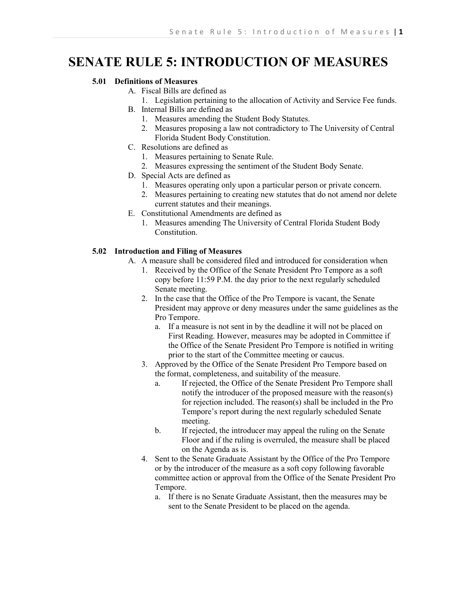# **SENATE RULE 5: INTRODUCTION OF MEASURES**

### **5.01 Definitions of Measures**

- A. Fiscal Bills are defined as
	- 1. Legislation pertaining to the allocation of Activity and Service Fee funds.
- B. Internal Bills are defined as
	- 1. Measures amending the Student Body Statutes.
		- 2. Measures proposing a law not contradictory to The University of Central Florida Student Body Constitution.
- C. Resolutions are defined as
	- 1. Measures pertaining to Senate Rule.
	- 2. Measures expressing the sentiment of the Student Body Senate.
- D. Special Acts are defined as
	- 1. Measures operating only upon a particular person or private concern.
	- 2. Measures pertaining to creating new statutes that do not amend nor delete current statutes and their meanings.
- E. Constitutional Amendments are defined as
	- 1. Measures amending The University of Central Florida Student Body Constitution.

## **5.02 Introduction and Filing of Measures**

- A. A measure shall be considered filed and introduced for consideration when
	- 1. Received by the Office of the Senate President Pro Tempore as a soft copy before 11:59 P.M. the day prior to the next regularly scheduled Senate meeting.
	- 2. In the case that the Office of the Pro Tempore is vacant, the Senate President may approve or deny measures under the same guidelines as the Pro Tempore.
		- a. If a measure is not sent in by the deadline it will not be placed on First Reading. However, measures may be adopted in Committee if the Office of the Senate President Pro Tempore is notified in writing prior to the start of the Committee meeting or caucus.
	- 3. Approved by the Office of the Senate President Pro Tempore based on the format, completeness, and suitability of the measure.
		- a. If rejected, the Office of the Senate President Pro Tempore shall notify the introducer of the proposed measure with the reason(s) for rejection included. The reason(s) shall be included in the Pro Tempore's report during the next regularly scheduled Senate meeting.
		- b. If rejected, the introducer may appeal the ruling on the Senate Floor and if the ruling is overruled, the measure shall be placed on the Agenda as is.
	- 4. Sent to the Senate Graduate Assistant by the Office of the Pro Tempore or by the introducer of the measure as a soft copy following favorable committee action or approval from the Office of the Senate President Pro Tempore.
		- a. If there is no Senate Graduate Assistant, then the measures may be sent to the Senate President to be placed on the agenda.